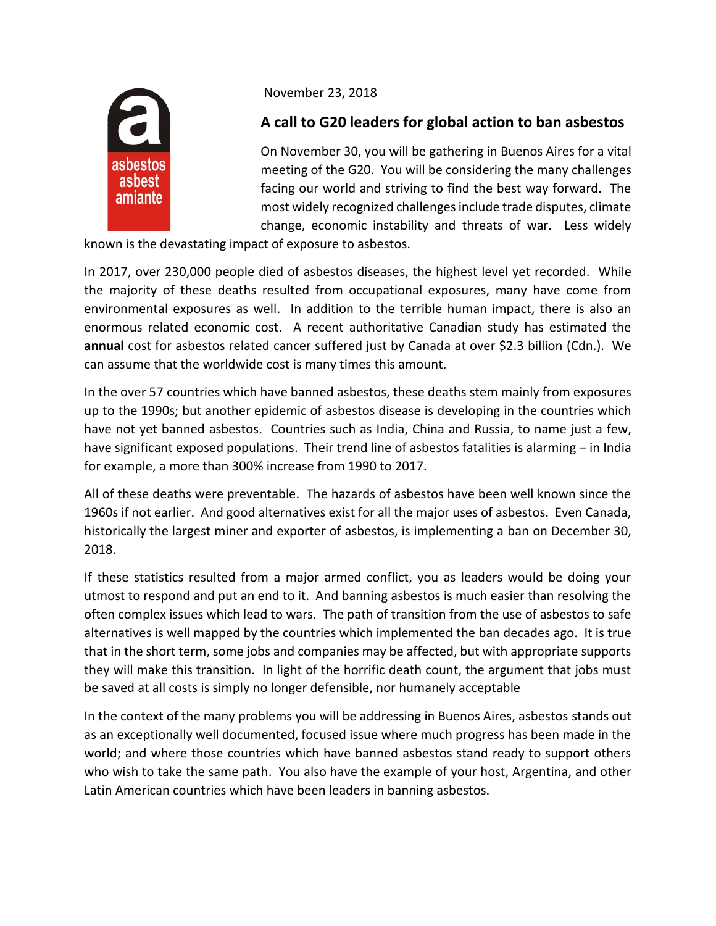

November 23, 2018

## **A call to G20 leaders for global action to ban asbestos**

On November 30, you will be gathering in Buenos Aires for a vital meeting of the G20. You will be considering the many challenges facing our world and striving to find the best way forward. The most widely recognized challenges include trade disputes, climate change, economic instability and threats of war. Less widely

known is the devastating impact of exposure to asbestos.

In 2017, over 230,000 people died of asbestos diseases, the highest level yet recorded. While the majority of these deaths resulted from occupational exposures, many have come from environmental exposures as well. In addition to the terrible human impact, there is also an enormous related economic cost. A recent authoritative Canadian study has estimated the **annual** cost for asbestos related cancer suffered just by Canada at over \$2.3 billion (Cdn.). We can assume that the worldwide cost is many times this amount.

In the over 57 countries which have banned asbestos, these deaths stem mainly from exposures up to the 1990s; but another epidemic of asbestos disease is developing in the countries which have not yet banned asbestos. Countries such as India, China and Russia, to name just a few, have significant exposed populations. Their trend line of asbestos fatalities is alarming – in India for example, a more than 300% increase from 1990 to 2017.

All of these deaths were preventable. The hazards of asbestos have been well known since the 1960s if not earlier. And good alternatives exist for all the major uses of asbestos. Even Canada, historically the largest miner and exporter of asbestos, is implementing a ban on December 30, 2018.

If these statistics resulted from a major armed conflict, you as leaders would be doing your utmost to respond and put an end to it. And banning asbestos is much easier than resolving the often complex issues which lead to wars. The path of transition from the use of asbestos to safe alternatives is well mapped by the countries which implemented the ban decades ago. It is true that in the short term, some jobs and companies may be affected, but with appropriate supports they will make this transition. In light of the horrific death count, the argument that jobs must be saved at all costs is simply no longer defensible, nor humanely acceptable

In the context of the many problems you will be addressing in Buenos Aires, asbestos stands out as an exceptionally well documented, focused issue where much progress has been made in the world; and where those countries which have banned asbestos stand ready to support others who wish to take the same path. You also have the example of your host, Argentina, and other Latin American countries which have been leaders in banning asbestos.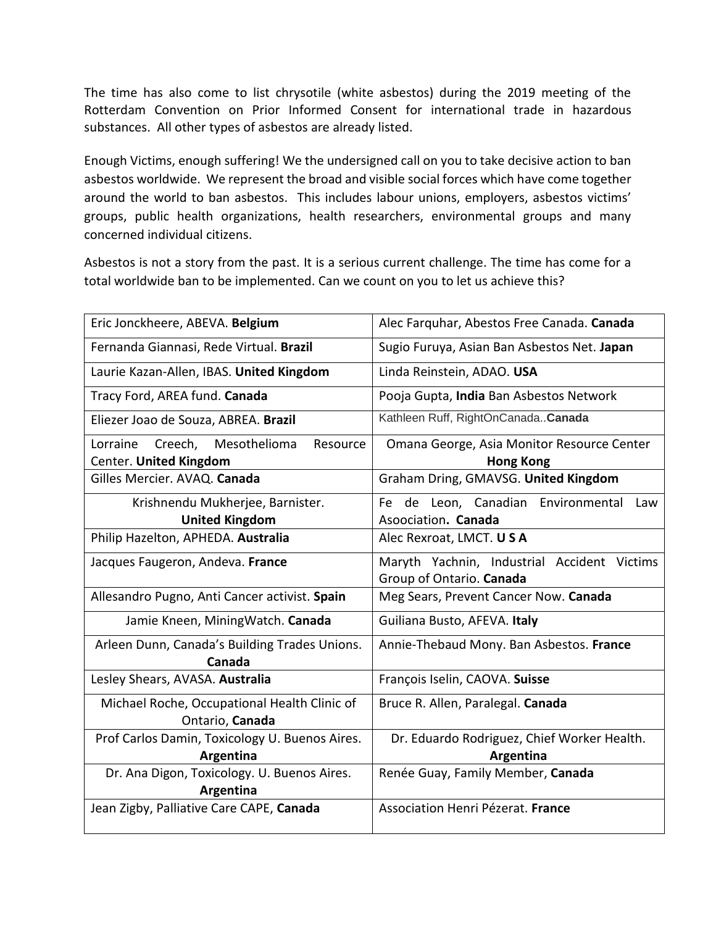The time has also come to list chrysotile (white asbestos) during the 2019 meeting of the Rotterdam Convention on Prior Informed Consent for international trade in hazardous substances. All other types of asbestos are already listed.

Enough Victims, enough suffering! We the undersigned call on you to take decisive action to ban asbestos worldwide. We represent the broad and visible social forces which have come together around the world to ban asbestos. This includes labour unions, employers, asbestos victims' groups, public health organizations, health researchers, environmental groups and many concerned individual citizens.

Asbestos is not a story from the past. It is a serious current challenge. The time has come for a total worldwide ban to be implemented. Can we count on you to let us achieve this?

| Eric Jonckheere, ABEVA. Belgium                                           | Alec Farquhar, Abestos Free Canada. Canada                              |
|---------------------------------------------------------------------------|-------------------------------------------------------------------------|
| Fernanda Giannasi, Rede Virtual. Brazil                                   | Sugio Furuya, Asian Ban Asbestos Net. Japan                             |
| Laurie Kazan-Allen, IBAS. United Kingdom                                  | Linda Reinstein, ADAO. USA                                              |
| Tracy Ford, AREA fund. Canada                                             | Pooja Gupta, India Ban Asbestos Network                                 |
| Eliezer Joao de Souza, ABREA. Brazil                                      | Kathleen Ruff, RightOnCanadaCanada                                      |
| Lorraine<br>Creech,<br>Mesothelioma<br>Resource<br>Center. United Kingdom | Omana George, Asia Monitor Resource Center<br><b>Hong Kong</b>          |
| Gilles Mercier. AVAQ. Canada                                              | Graham Dring, GMAVSG. United Kingdom                                    |
| Krishnendu Mukherjee, Barnister.<br><b>United Kingdom</b>                 | de Leon, Canadian<br>Environmental<br>Fe<br>Law<br>Asoociation. Canada  |
| Philip Hazelton, APHEDA. Australia                                        | Alec Rexroat, LMCT. USA                                                 |
| Jacques Faugeron, Andeva. France                                          | Maryth Yachnin, Industrial Accident Victims<br>Group of Ontario. Canada |
| Allesandro Pugno, Anti Cancer activist. Spain                             | Meg Sears, Prevent Cancer Now. Canada                                   |
| Jamie Kneen, Mining Watch. Canada                                         | Guiliana Busto, AFEVA. Italy                                            |
| Arleen Dunn, Canada's Building Trades Unions.<br>Canada                   | Annie-Thebaud Mony. Ban Asbestos. France                                |
| Lesley Shears, AVASA. Australia                                           | François Iselin, CAOVA. Suisse                                          |
| Michael Roche, Occupational Health Clinic of<br>Ontario, Canada           | Bruce R. Allen, Paralegal. Canada                                       |
| Prof Carlos Damin, Toxicology U. Buenos Aires.<br>Argentina               | Dr. Eduardo Rodriguez, Chief Worker Health.<br>Argentina                |
| Dr. Ana Digon, Toxicology. U. Buenos Aires.<br>Argentina                  | Renée Guay, Family Member, Canada                                       |
| Jean Zigby, Palliative Care CAPE, Canada                                  | Association Henri Pézerat. France                                       |